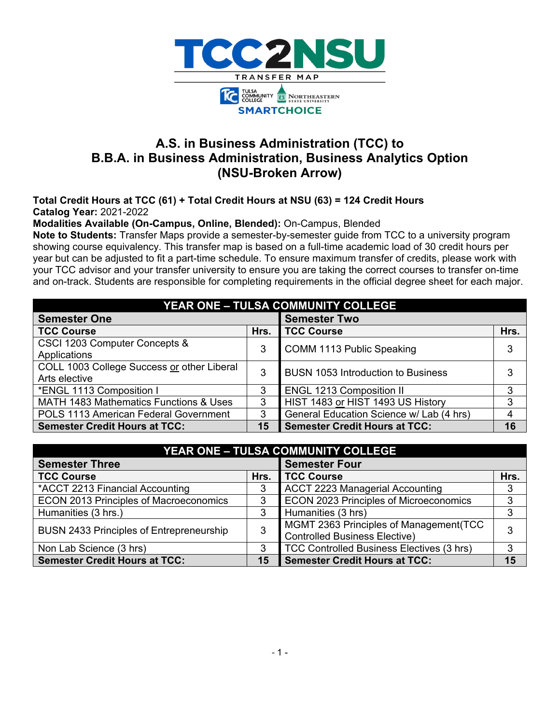

# **A.S. in Business Administration (TCC) to B.B.A. in Business Administration, Business Analytics Option (NSU-Broken Arrow)**

**Total Credit Hours at TCC (61) + Total Credit Hours at NSU (63) = 124 Credit Hours Catalog Year:** 2021-2022

**Modalities Available (On-Campus, Online, Blended):** On-Campus, Blended

**Note to Students:** Transfer Maps provide a semester-by-semester guide from TCC to a university program showing course equivalency. This transfer map is based on a full-time academic load of 30 credit hours per year but can be adjusted to fit a part-time schedule. To ensure maximum transfer of credits, please work with your TCC advisor and your transfer university to ensure you are taking the correct courses to transfer on-time and on-track. Students are responsible for completing requirements in the official degree sheet for each major.

| <b>YEAR ONE - TULSA COMMUNITY COLLEGE</b>    |      |                                           |      |  |  |  |  |
|----------------------------------------------|------|-------------------------------------------|------|--|--|--|--|
| <b>Semester One</b>                          |      | <b>Semester Two</b>                       |      |  |  |  |  |
| <b>TCC Course</b>                            | Hrs. | <b>TCC Course</b>                         | Hrs. |  |  |  |  |
| CSCI 1203 Computer Concepts &                | 3    | COMM 1113 Public Speaking                 | 3    |  |  |  |  |
| Applications                                 |      |                                           |      |  |  |  |  |
| COLL 1003 College Success or other Liberal   | 3    | <b>BUSN 1053 Introduction to Business</b> | 3    |  |  |  |  |
| Arts elective                                |      |                                           |      |  |  |  |  |
| *ENGL 1113 Composition I                     | 3    | <b>ENGL 1213 Composition II</b>           | 3    |  |  |  |  |
| MATH 1483 Mathematics Functions & Uses       | 3    | HIST 1483 or HIST 1493 US History         | 3    |  |  |  |  |
| <b>POLS 1113 American Federal Government</b> | 3    | General Education Science w/ Lab (4 hrs)  |      |  |  |  |  |
| <b>Semester Credit Hours at TCC:</b>         | 15   | <b>Semester Credit Hours at TCC:</b>      | 16   |  |  |  |  |

| <b>YEAR ONE - TULSA COMMUNITY COLLEGE</b>       |      |                                                                                 |      |  |  |  |
|-------------------------------------------------|------|---------------------------------------------------------------------------------|------|--|--|--|
| <b>Semester Three</b>                           |      | <b>Semester Four</b>                                                            |      |  |  |  |
| <b>TCC Course</b>                               | Hrs. | <b>TCC Course</b>                                                               | Hrs. |  |  |  |
| *ACCT 2213 Financial Accounting                 | 3    | <b>ACCT 2223 Managerial Accounting</b>                                          | 3    |  |  |  |
| <b>ECON 2013 Principles of Macroeconomics</b>   | 3    | ECON 2023 Principles of Microeconomics                                          | 3    |  |  |  |
| Humanities (3 hrs.)                             | 3    | Humanities (3 hrs)                                                              | 3    |  |  |  |
| <b>BUSN 2433 Principles of Entrepreneurship</b> | 3    | MGMT 2363 Principles of Management (TCC<br><b>Controlled Business Elective)</b> |      |  |  |  |
| Non Lab Science (3 hrs)                         |      | TCC Controlled Business Electives (3 hrs)                                       | 3    |  |  |  |
| <b>Semester Credit Hours at TCC:</b>            | 15   | <b>Semester Credit Hours at TCC:</b>                                            | 15   |  |  |  |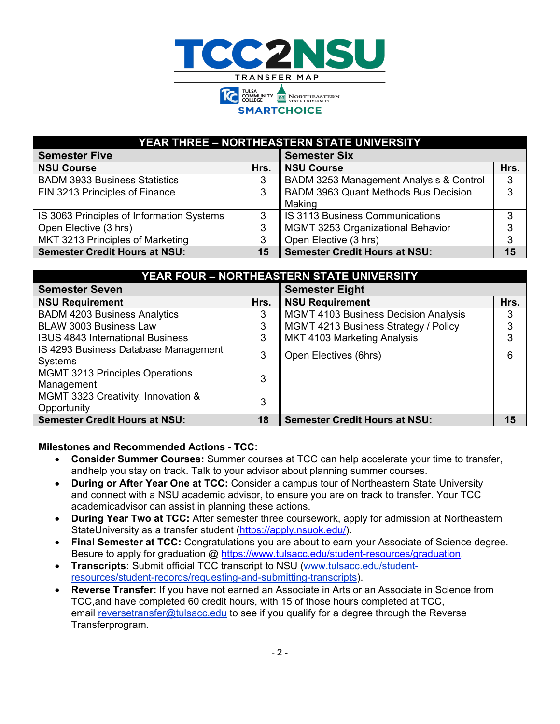

#### **YEAR THREE – NORTHEASTERN STATE UNIVERSITY**

| <b>Semester Five</b>                      |      | <b>Semester Six</b>                     |      |
|-------------------------------------------|------|-----------------------------------------|------|
| <b>NSU Course</b>                         | Hrs. | <b>NSU Course</b>                       | Hrs. |
| <b>BADM 3933 Business Statistics</b>      | 3    | BADM 3253 Management Analysis & Control | 3    |
| FIN 3213 Principles of Finance            | 3    | BADM 3963 Quant Methods Bus Decision    | 3    |
|                                           |      | Making                                  |      |
| IS 3063 Principles of Information Systems |      | <b>IS 3113 Business Communications</b>  |      |
| Open Elective (3 hrs)                     |      | MGMT 3253 Organizational Behavior       |      |
| MKT 3213 Principles of Marketing          |      | Open Elective (3 hrs)                   |      |
| <b>Semester Credit Hours at NSU:</b>      | 15   | <b>Semester Credit Hours at NSU:</b>    | 15   |

| YEAR FOUR - NORTHEASTERN STATE UNIVERSITY              |      |                                             |      |  |  |  |
|--------------------------------------------------------|------|---------------------------------------------|------|--|--|--|
| <b>Semester Seven</b>                                  |      | <b>Semester Eight</b>                       |      |  |  |  |
| <b>NSU Requirement</b>                                 | Hrs. | <b>NSU Requirement</b>                      | Hrs. |  |  |  |
| <b>BADM 4203 Business Analytics</b>                    | 3    | <b>MGMT 4103 Business Decision Analysis</b> | 3    |  |  |  |
| <b>BLAW 3003 Business Law</b>                          | 3    | MGMT 4213 Business Strategy / Policy        | 3    |  |  |  |
| <b>IBUS 4843 International Business</b>                | 3    | MKT 4103 Marketing Analysis                 | 3    |  |  |  |
| IS 4293 Business Database Management<br><b>Systems</b> | 3    | Open Electives (6hrs)                       | 6    |  |  |  |
| <b>MGMT 3213 Principles Operations</b><br>Management   | 3    |                                             |      |  |  |  |
| MGMT 3323 Creativity, Innovation &<br>Opportunity      | 3    |                                             |      |  |  |  |
| <b>Semester Credit Hours at NSU:</b>                   | 18   | <b>Semester Credit Hours at NSU:</b>        | 15   |  |  |  |

#### **Milestones and Recommended Actions - TCC:**

- **Consider Summer Courses:** Summer courses at TCC can help accelerate your time to transfer, andhelp you stay on track. Talk to your advisor about planning summer courses.
- **During or After Year One at TCC:** Consider a campus tour of Northeastern State University and connect with a NSU academic advisor, to ensure you are on track to transfer. Your TCC academicadvisor can assist in planning these actions.
- **During Year Two at TCC:** After semester three coursework, apply for admission at Northeastern StateUniversity as a transfer student [\(https://apply.nsuok.edu/\)](https://apply.nsuok.edu/).
- **Final Semester at TCC:** Congratulations you are about to earn your Associate of Science degree. Besure to apply for graduation @ [https://www.tulsacc.edu/student-resources/graduation.](https://www.tulsacc.edu/student-resources/graduation)
- **Transcripts:** Submit official TCC transcript to NSU [\(www.tulsacc.edu/student](https://nam02.safelinks.protection.outlook.com/?url=https%3A%2F%2Fwww.tulsacc.edu%2Fstudent-resources%2Fstudent-records%2Frequesting-and-submitting-transcripts&data=02%7C01%7Cemily.tichenor%40tulsacc.edu%7C5598c6763639477e236c08d85f0839bf%7Ceb5d9dc493c645578c2390ef7fa05b96%7C0%7C0%7C637363836231035674&sdata=5lmaWMnEEDKUqbMnQK%2Br2W27bnwkjhyXpRtV%2Fy6ySco%3D&reserved=0)[resources/student-records/requesting-and-submitting-transcripts\)](https://nam02.safelinks.protection.outlook.com/?url=https%3A%2F%2Fwww.tulsacc.edu%2Fstudent-resources%2Fstudent-records%2Frequesting-and-submitting-transcripts&data=02%7C01%7Cemily.tichenor%40tulsacc.edu%7C5598c6763639477e236c08d85f0839bf%7Ceb5d9dc493c645578c2390ef7fa05b96%7C0%7C0%7C637363836231035674&sdata=5lmaWMnEEDKUqbMnQK%2Br2W27bnwkjhyXpRtV%2Fy6ySco%3D&reserved=0).
- **Reverse Transfer:** If you have not earned an Associate in Arts or an Associate in Science from TCC,and have completed 60 credit hours, with 15 of those hours completed at TCC, email [reversetransfer@tulsacc.edu](mailto:reversetransfer@tulsacc.edu) to see if you qualify for a degree through the Reverse Transferprogram.